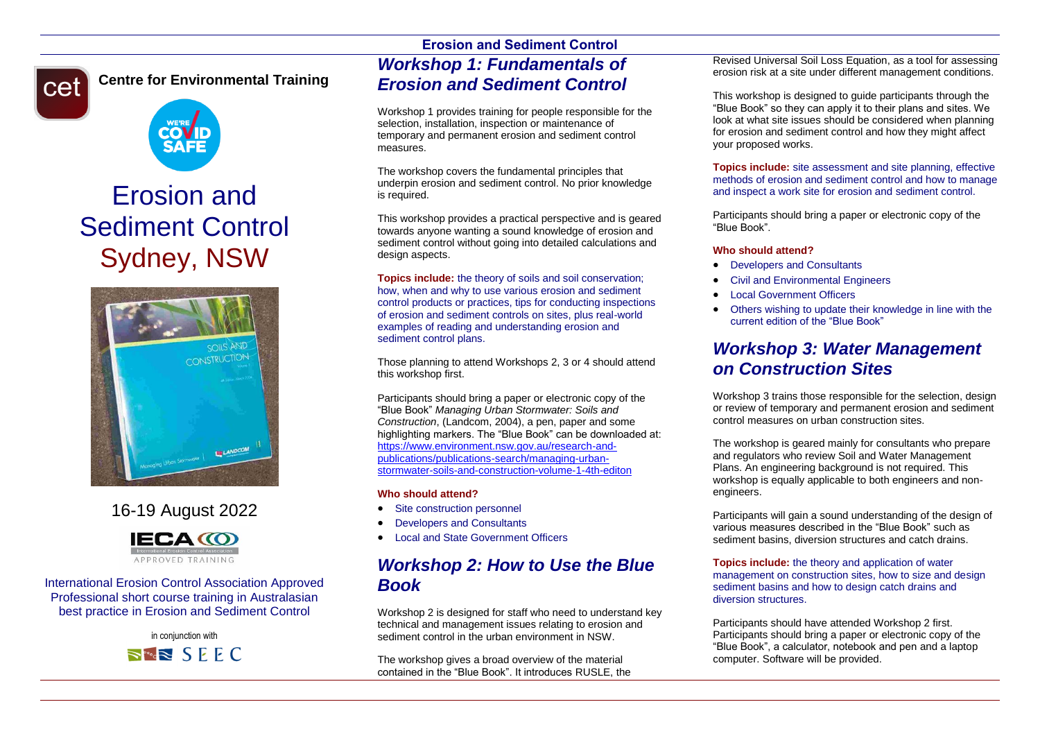# cet

## **Centre for Environmental Training**



## Erosion and Sediment Control Sydney, NSW



## 16-19 August 2022



International Erosion Control Association Approved Professional short course training in Australasian best practice in Erosion and Sediment Control

> in conjunction with  $\Rightarrow$   $\approx$  SEEC

## **Erosion and Sediment Control** *Workshop 1: Fundamentals of Erosion and Sediment Control*

Workshop 1 provides training for people responsible for the selection, installation, inspection or maintenance of temporary and permanent erosion and sediment control measures.

The workshop covers the fundamental principles that underpin erosion and sediment control. No prior knowledge is required.

This workshop provides a practical perspective and is geared towards anyone wanting a sound knowledge of erosion and sediment control without going into detailed calculations and design aspects.

**Topics include:** the theory of soils and soil conservation; how, when and why to use various erosion and sediment control products or practices, tips for conducting inspections of erosion and sediment controls on sites, plus real-world examples of reading and understanding erosion and sediment control plans.

Those planning to attend Workshops 2, 3 or 4 should attend this workshop first.

Participants should bring a paper or electronic copy of the "Blue Book" *Managing Urban Stormwater: Soils and Construction*, (Landcom, 2004), a pen, paper and some highlighting markers. The "Blue Book" can be downloaded at: [https://www.environment.nsw.gov.au/research-and](https://www.environment.nsw.gov.au/research-and-publications/publications-search/managing-urban-stormwater-soils-and-construction-volume-1-4th-editon)[publications/publications-search/managing-urban](https://www.environment.nsw.gov.au/research-and-publications/publications-search/managing-urban-stormwater-soils-and-construction-volume-1-4th-editon)[stormwater-soils-and-construction-volume-1-4th-editon](https://www.environment.nsw.gov.au/research-and-publications/publications-search/managing-urban-stormwater-soils-and-construction-volume-1-4th-editon)

#### **Who should attend?**

- Site construction personnel
- Developers and Consultants
- Local and State Government Officers

## *Workshop 2: How to Use the Blue Book*

Workshop 2 is designed for staff who need to understand key technical and management issues relating to erosion and sediment control in the urban environment in NSW.

The workshop gives a broad overview of the material contained in the "Blue Book". It introduces RUSLE, the

Revised Universal Soil Loss Equation, as a tool for assessing erosion risk at a site under different management conditions.

This workshop is designed to guide participants through the "Blue Book" so they can apply it to their plans and sites. We look at what site issues should be considered when planning for erosion and sediment control and how they might affect your proposed works.

**Topics include:** site assessment and site planning, effective methods of erosion and sediment control and how to manage and inspect a work site for erosion and sediment control.

Participants should bring a paper or electronic copy of the "Blue Book".

#### **Who should attend?**

- Developers and Consultants
- Civil and Environmental Engineers
- Local Government Officers
- Others wishing to update their knowledge in line with the current edition of the "Blue Book"

## *Workshop 3: Water Management on Construction Sites*

Workshop 3 trains those responsible for the selection, design or review of temporary and permanent erosion and sediment control measures on urban construction sites.

The workshop is geared mainly for consultants who prepare and regulators who review Soil and Water Management Plans. An engineering background is not required. This workshop is equally applicable to both engineers and nonengineers.

Participants will gain a sound understanding of the design of various measures described in the "Blue Book" such as sediment basins, diversion structures and catch drains.

#### **Topics include:** the theory and application of water management on construction sites, how to size and design sediment basins and how to design catch drains and diversion structures.

Participants should have attended Workshop 2 first. Participants should bring a paper or electronic copy of the "Blue Book", a calculator, notebook and pen and a laptop computer. Software will be provided.